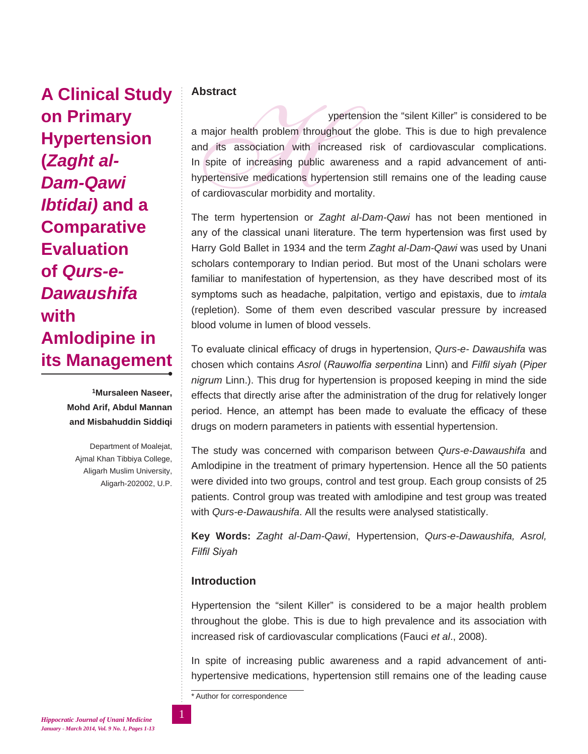**A Clinical Study on Primary Hypertension (***Zaght al-Dam-Qawi Ibtidai)* **and a Comparative Evaluation of** *Qurs-e-Dawaushifa* **with Amlodipine in its Management**

> **1Mursaleen Naseer, Mohd Arif, Abdul Mannan and Misbahuddin Siddiqi**

Department of Moalejat, Ajmal Khan Tibbiya College, Aligarh Muslim University, Aligarh-202002, U.P.

## **Abstract**

ypertension the "silent Killer" is considered to be<br>a major health problem throughout the globe. This is due to high prevalence<br>and its association with increased risk of cardiovascular complications.<br>In spite of increasin a major health problem throughout the globe. This is due to high prevalence and its association with increased risk of cardiovascular complications. In spite of increasing public awareness and a rapid advancement of antihypertensive medications hypertension still remains one of the leading cause of cardiovascular morbidity and mortality.

The term hypertension or *Zaght al-Dam-Qawi* has not been mentioned in any of the classical unani literature. The term hypertension was first used by Harry Gold Ballet in 1934 and the term *Zaght al-Dam-Qawi* was used by Unani scholars contemporary to Indian period. But most of the Unani scholars were familiar to manifestation of hypertension, as they have described most of its symptoms such as headache, palpitation, vertigo and epistaxis, due to *imtala*  (repletion). Some of them even described vascular pressure by increased blood volume in lumen of blood vessels.

To evaluate clinical efficacy of drugs in hypertension, *Qurs-e- Dawaushifa* was chosen which contains *Asrol* (*Rauwolfia serpentina* Linn) and *Filfil siyah* (*Piper nigrum* Linn.). This drug for hypertension is proposed keeping in mind the side effects that directly arise after the administration of the drug for relatively longer period. Hence, an attempt has been made to evaluate the efficacy of these drugs on modern parameters in patients with essential hypertension.

The study was concerned with comparison between *Qurs-e-Dawaushifa* and Amlodipine in the treatment of primary hypertension. Hence all the 50 patients were divided into two groups, control and test group. Each group consists of 25 patients. Control group was treated with amlodipine and test group was treated with *Qurs-e-Dawaushifa*. All the results were analysed statistically.

**Key Words:** *Zaght al-Dam-Qawi*, Hypertension, *Qurs-e-Dawaushifa, Asrol, Filfil Siyah*

# **Introduction**

Hypertension the "silent Killer" is considered to be a major health problem throughout the globe. This is due to high prevalence and its association with increased risk of cardiovascular complications (Fauci *et al*., 2008).

In spite of increasing public awareness and a rapid advancement of antihypertensive medications, hypertension still remains one of the leading cause

\* Author for correspondence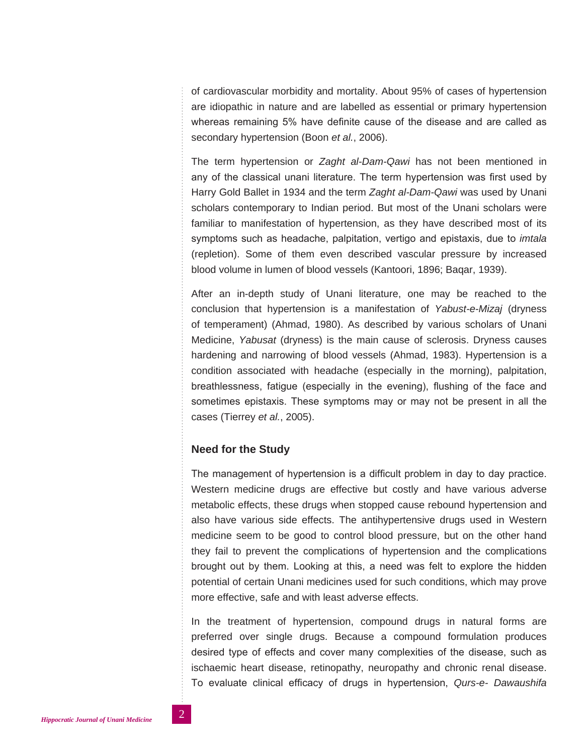of cardiovascular morbidity and mortality. About 95% of cases of hypertension are idiopathic in nature and are labelled as essential or primary hypertension whereas remaining 5% have definite cause of the disease and are called as secondary hypertension (Boon *et al.*, 2006).

The term hypertension or *Zaght al-Dam-Qawi* has not been mentioned in any of the classical unani literature. The term hypertension was first used by Harry Gold Ballet in 1934 and the term *Zaght al-Dam-Qawi* was used by Unani scholars contemporary to Indian period. But most of the Unani scholars were familiar to manifestation of hypertension, as they have described most of its symptoms such as headache, palpitation, vertigo and epistaxis, due to *imtala* (repletion). Some of them even described vascular pressure by increased blood volume in lumen of blood vessels (Kantoori, 1896; Baqar, 1939).

After an in-depth study of Unani literature, one may be reached to the conclusion that hypertension is a manifestation of *Yabust-e-Mizaj* (dryness of temperament) (Ahmad, 1980). As described by various scholars of Unani Medicine, *Yabusat* (dryness) is the main cause of sclerosis. Dryness causes hardening and narrowing of blood vessels (Ahmad, 1983). Hypertension is a condition associated with headache (especially in the morning), palpitation, breathlessness, fatigue (especially in the evening), flushing of the face and sometimes epistaxis. These symptoms may or may not be present in all the cases (Tierrey *et al.*, 2005).

### **Need for the Study**

The management of hypertension is a difficult problem in day to day practice. Western medicine drugs are effective but costly and have various adverse metabolic effects, these drugs when stopped cause rebound hypertension and also have various side effects. The antihypertensive drugs used in Western medicine seem to be good to control blood pressure, but on the other hand they fail to prevent the complications of hypertension and the complications brought out by them. Looking at this, a need was felt to explore the hidden potential of certain Unani medicines used for such conditions, which may prove more effective, safe and with least adverse effects.

In the treatment of hypertension, compound drugs in natural forms are preferred over single drugs. Because a compound formulation produces desired type of effects and cover many complexities of the disease, such as ischaemic heart disease, retinopathy, neuropathy and chronic renal disease. To evaluate clinical efficacy of drugs in hypertension, *Qurs-e- Dawaushifa*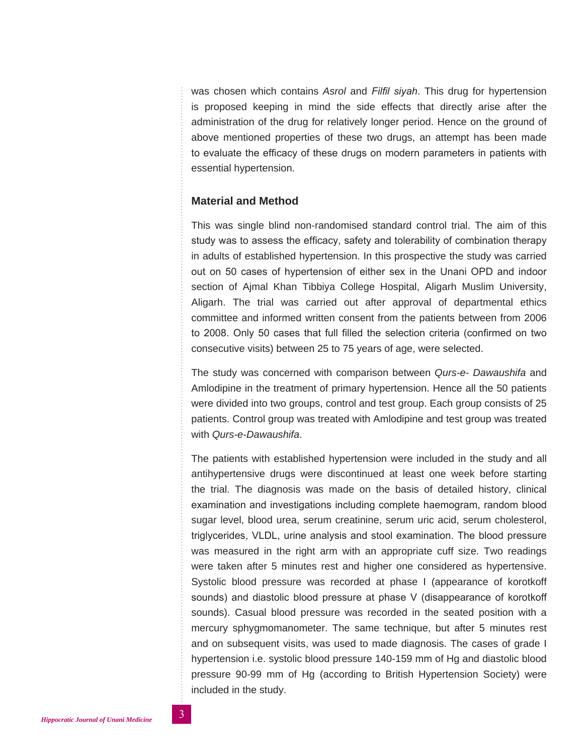was chosen which contains *Asrol* and *Filfil siyah*. This drug for hypertension is proposed keeping in mind the side effects that directly arise after the administration of the drug for relatively longer period. Hence on the ground of above mentioned properties of these two drugs, an attempt has been made to evaluate the efficacy of these drugs on modern parameters in patients with essential hypertension.

### **Material and Method**

This was single blind non-randomised standard control trial. The aim of this study was to assess the efficacy, safety and tolerability of combination therapy in adults of established hypertension. In this prospective the study was carried out on 50 cases of hypertension of either sex in the Unani OPD and indoor section of Ajmal Khan Tibbiya College Hospital, Aligarh Muslim University, Aligarh. The trial was carried out after approval of departmental ethics committee and informed written consent from the patients between from 2006 to 2008. Only 50 cases that full filled the selection criteria (confirmed on two consecutive visits) between 25 to 75 years of age, were selected.

The study was concerned with comparison between *Qurs-e- Dawaushifa* and Amlodipine in the treatment of primary hypertension. Hence all the 50 patients were divided into two groups, control and test group. Each group consists of 25 patients. Control group was treated with Amlodipine and test group was treated with *Qurs-e-Dawaushifa*.

The patients with established hypertension were included in the study and all antihypertensive drugs were discontinued at least one week before starting the trial. The diagnosis was made on the basis of detailed history, clinical examination and investigations including complete haemogram, random blood sugar level, blood urea, serum creatinine, serum uric acid, serum cholesterol, triglycerides, VLDL, urine analysis and stool examination. The blood pressure was measured in the right arm with an appropriate cuff size. Two readings were taken after 5 minutes rest and higher one considered as hypertensive. Systolic blood pressure was recorded at phase I (appearance of korotkoff sounds) and diastolic blood pressure at phase V (disappearance of korotkoff sounds). Casual blood pressure was recorded in the seated position with a mercury sphygmomanometer. The same technique, but after 5 minutes rest and on subsequent visits, was used to made diagnosis. The cases of grade I hypertension i.e. systolic blood pressure 140-159 mm of Hg and diastolic blood pressure 90-99 mm of Hg (according to British Hypertension Society) were included in the study.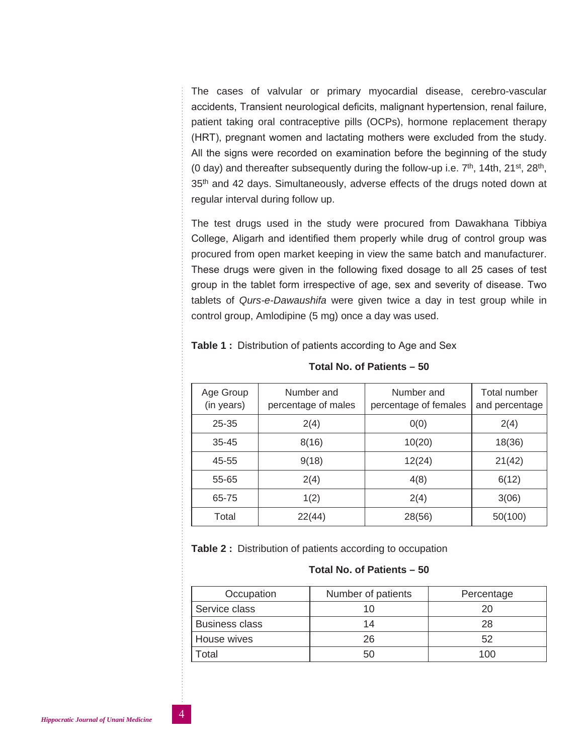The cases of valvular or primary myocardial disease, cerebro-vascular accidents, Transient neurological deficits, malignant hypertension, renal failure, patient taking oral contraceptive pills (OCPs), hormone replacement therapy (HRT), pregnant women and lactating mothers were excluded from the study. All the signs were recorded on examination before the beginning of the study (0 day) and thereafter subsequently during the follow-up i.e.  $7<sup>th</sup>$ , 14th, 21<sup>st</sup>, 28<sup>th</sup>, 35<sup>th</sup> and 42 days. Simultaneously, adverse effects of the drugs noted down at regular interval during follow up.

The test drugs used in the study were procured from Dawakhana Tibbiya College, Aligarh and identified them properly while drug of control group was procured from open market keeping in view the same batch and manufacturer. These drugs were given in the following fixed dosage to all 25 cases of test group in the tablet form irrespective of age, sex and severity of disease. Two tablets of *Qurs-e-Dawaushifa* were given twice a day in test group while in control group, Amlodipine (5 mg) once a day was used.

| Age Group<br>(in years) | Number and<br>percentage of males | Number and<br>percentage of females | Total number<br>and percentage |
|-------------------------|-----------------------------------|-------------------------------------|--------------------------------|
| $25 - 35$               | 2(4)                              | 0(0)                                | 2(4)                           |
| $35 - 45$               | 8(16)                             | 10(20)                              | 18(36)                         |
| 45-55                   | 9(18)                             | 12(24)                              | 21(42)                         |
| 55-65                   | 2(4)                              | 4(8)                                | 6(12)                          |
| 65-75                   | 1(2)                              | 2(4)                                | 3(06)                          |
| Total                   | 22(44)                            | 28(56)                              | 50(100)                        |

**Total No. of Patients – 50**

### **Table 1 :** Distribution of patients according to Age and Sex

**Table 2 :** Distribution of patients according to occupation

| Occupation            | Number of patients | Percentage |
|-----------------------|--------------------|------------|
| Service class         |                    | 20         |
| <b>Business class</b> | 14                 | 28         |
| House wives           | 26                 | 52         |
| otal <sup>-</sup>     | 50                 | 100        |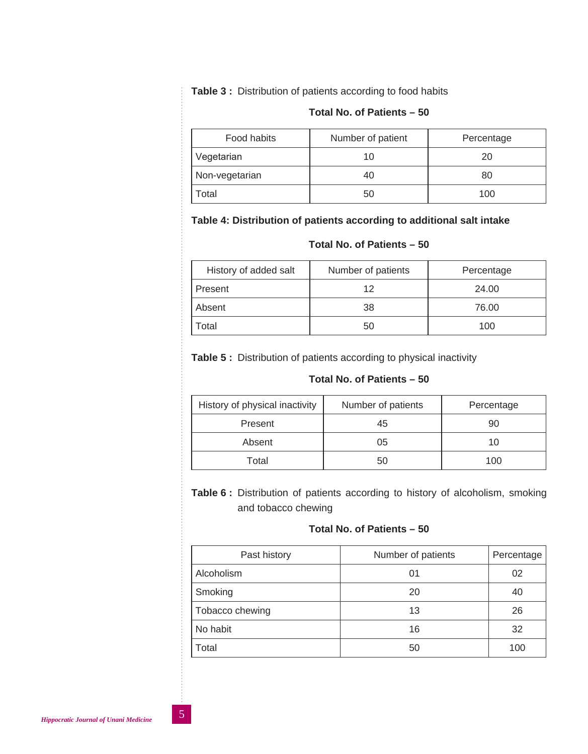**Table 3 :** Distribution of patients according to food habits

### **Total No. of Patients – 50**

| Food habits    | Number of patient | Percentage |
|----------------|-------------------|------------|
| Vegetarian     |                   | 20         |
| Non-vegetarian |                   | 80         |
| Total          | 50                | 100        |

# **Table 4: Distribution of patients according to additional salt intake**

### **Total No. of Patients – 50**

| History of added salt | Number of patients | Percentage |
|-----------------------|--------------------|------------|
| Present               | 12                 | 24.00      |
| Absent                | 38                 | 76.00      |
| Total                 | 50                 | 100        |

**Table 5 :** Distribution of patients according to physical inactivity

### **Total No. of Patients – 50**

| History of physical inactivity | Number of patients | Percentage |  |
|--------------------------------|--------------------|------------|--|
| Present                        | 45                 | 90         |  |
| Absent                         | 05                 | 10         |  |
| Total                          | 50                 | 100        |  |

**Table 6 :** Distribution of patients according to history of alcoholism, smoking and tobacco chewing

| Past history    | Number of patients | Percentage |
|-----------------|--------------------|------------|
| Alcoholism      | 01                 | 02         |
| Smoking         | 20                 | 40         |
| Tobacco chewing | 13                 | 26         |
| No habit        | 16                 | 32         |
| Total           | 50                 | 100        |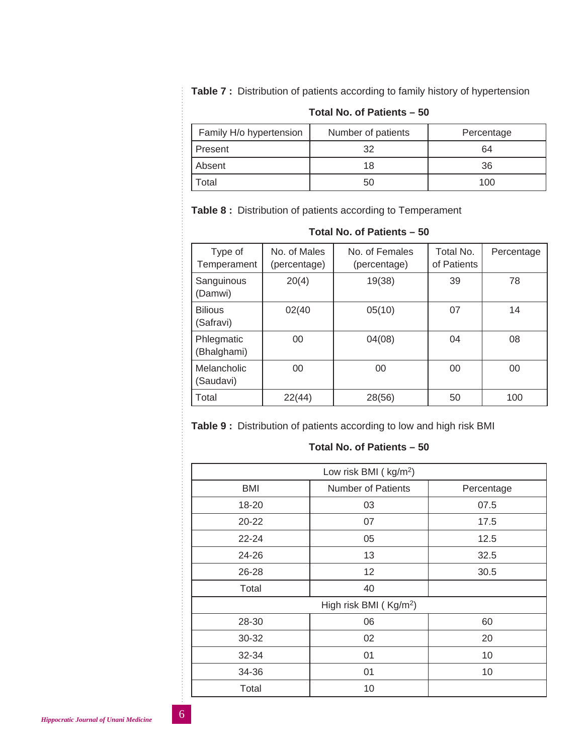**Table 7 :** Distribution of patients according to family history of hypertension

| Family H/o hypertension | Number of patients | Percentage |  |  |  |  |  |
|-------------------------|--------------------|------------|--|--|--|--|--|
| Present                 | 32                 | 64         |  |  |  |  |  |
| Absent                  | 18                 | 36         |  |  |  |  |  |
| Total                   | 50                 | 100        |  |  |  |  |  |

# **Total No. of Patients – 50**

**Table 8 :** Distribution of patients according to Temperament

| Type of<br>Temperament      | No. of Males<br>(percentage) | No. of Females<br>(percentage) | Total No.<br>of Patients | Percentage |
|-----------------------------|------------------------------|--------------------------------|--------------------------|------------|
| Sanguinous<br>(Damwi)       | 20(4)                        | 19(38)                         | 39                       | 78         |
| <b>Bilious</b><br>(Safravi) | 02(40                        | 05(10)                         | 07                       | 14         |
| Phlegmatic<br>(Bhalghami)   | 00                           | 04(08)                         | 04                       | 08         |
| Melancholic<br>(Saudavi)    | 00                           | 00                             | 00                       | 00         |
| Total                       | 22(44)                       | 28(56)                         | 50                       | 100        |

### **Total No. of Patients – 50**

**Table 9 :** Distribution of patients according to low and high risk BMI

| Low risk BMI (kg/m <sup>2</sup> ) |                                    |            |  |  |  |  |
|-----------------------------------|------------------------------------|------------|--|--|--|--|
| BMI                               | <b>Number of Patients</b>          | Percentage |  |  |  |  |
| 18-20                             | 03                                 | 07.5       |  |  |  |  |
| $20 - 22$                         | 07                                 | 17.5       |  |  |  |  |
| $22 - 24$                         | 05                                 | 12.5       |  |  |  |  |
| 24-26                             | 13                                 | 32.5       |  |  |  |  |
| 26-28                             | 12                                 | 30.5       |  |  |  |  |
| Total                             | 40                                 |            |  |  |  |  |
|                                   | High risk BMI (Kg/m <sup>2</sup> ) |            |  |  |  |  |
| 28-30                             | 06                                 | 60         |  |  |  |  |
| 30-32                             | 02                                 | 20         |  |  |  |  |
| 32-34                             | 01                                 | 10         |  |  |  |  |
| 34-36                             | 01                                 | 10         |  |  |  |  |
| Total                             | 10                                 |            |  |  |  |  |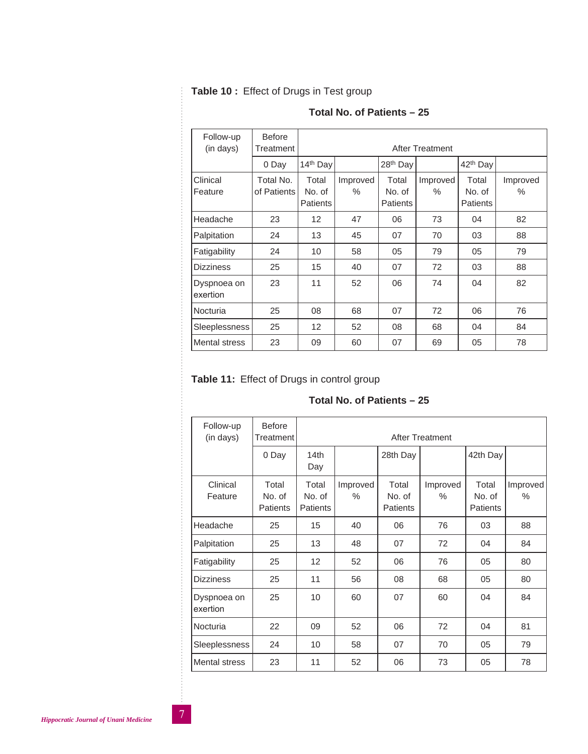|  |  |  | Table 10: Effect of Drugs in Test group |
|--|--|--|-----------------------------------------|
|--|--|--|-----------------------------------------|

 $\frac{1}{2}$   $\frac{1}{2}$   $\frac{1}{2}$   $\frac{1}{2}$   $\frac{1}{2}$   $\frac{1}{2}$   $\frac{1}{2}$   $\frac{1}{2}$   $\frac{1}{2}$   $\frac{1}{2}$   $\frac{1}{2}$   $\frac{1}{2}$   $\frac{1}{2}$   $\frac{1}{2}$   $\frac{1}{2}$   $\frac{1}{2}$   $\frac{1}{2}$   $\frac{1}{2}$   $\frac{1}{2}$   $\frac{1}{2}$   $\frac{1}{2}$   $\frac{1}{2}$ 

| Follow-up<br>(in days)  | <b>Before</b><br>Treatment |                                    | After Treatment |                                    |                  |                                    |               |  |
|-------------------------|----------------------------|------------------------------------|-----------------|------------------------------------|------------------|------------------------------------|---------------|--|
|                         | 0 Day                      | 14th Day                           |                 | 28 <sup>th</sup> Day               |                  | 42 <sup>th</sup> Day               |               |  |
| Clinical<br>Feature     | Total No.<br>of Patients   | Total<br>No. of<br><b>Patients</b> | Improved<br>℅   | Total<br>No. of<br><b>Patients</b> | Improved<br>$\%$ | Total<br>No. of<br><b>Patients</b> | Improved<br>℅ |  |
| Headache                | 23                         | 12                                 | 47              | 06                                 | 73               | 04                                 | 82            |  |
| Palpitation             | 24                         | 13                                 | 45              | 07                                 | 70               | 03                                 | 88            |  |
| Fatigability            | 24                         | 10                                 | 58              | 05                                 | 79               | 05                                 | 79            |  |
| <b>Dizziness</b>        | 25                         | 15                                 | 40              | 07                                 | 72               | 03                                 | 88            |  |
| Dyspnoea on<br>exertion | 23                         | 11                                 | 52              | 06                                 | 74               | 04                                 | 82            |  |
| Nocturia                | 25                         | 08                                 | 68              | 07                                 | 72               | 06                                 | 76            |  |
| <b>Sleeplessness</b>    | 25                         | 12                                 | 52              | 08                                 | 68               | 04                                 | 84            |  |
| Mental stress           | 23                         | 09                                 | 60              | 07                                 | 69               | 05                                 | 78            |  |

# **Total No. of Patients – 25**

# **Table 11:** Effect of Drugs in control group

| Follow-up<br>(in days)  | <b>Before</b><br>Treatment         |                                    | After Treatment  |                                    |                  |                                    |                  |
|-------------------------|------------------------------------|------------------------------------|------------------|------------------------------------|------------------|------------------------------------|------------------|
|                         | 0 Day                              | 14th<br>Day                        |                  | 28th Day                           |                  | 42th Day                           |                  |
| Clinical<br>Feature     | Total<br>No. of<br><b>Patients</b> | Total<br>No. of<br><b>Patients</b> | Improved<br>$\%$ | Total<br>No. of<br><b>Patients</b> | Improved<br>$\%$ | Total<br>No. of<br><b>Patients</b> | Improved<br>$\%$ |
| Headache                | 25                                 | 15                                 | 40               | 06                                 | 76               | 03                                 | 88               |
| Palpitation             | 25                                 | 13                                 | 48               | 07                                 | 72               | 04                                 | 84               |
| Fatigability            | 25                                 | 12                                 | 52               | 06                                 | 76               | 05                                 | 80               |
| <b>Dizziness</b>        | 25                                 | 11                                 | 56               | 08                                 | 68               | 05                                 | 80               |
| Dyspnoea on<br>exertion | 25                                 | 10                                 | 60               | 07                                 | 60               | 04                                 | 84               |
| Nocturia                | 22                                 | 09                                 | 52               | 06                                 | 72               | 04                                 | 81               |
| Sleeplessness           | 24                                 | 10                                 | 58               | 07                                 | 70               | 05                                 | 79               |
| <b>Mental stress</b>    | 23                                 | 11                                 | 52               | 06                                 | 73               | 05                                 | 78               |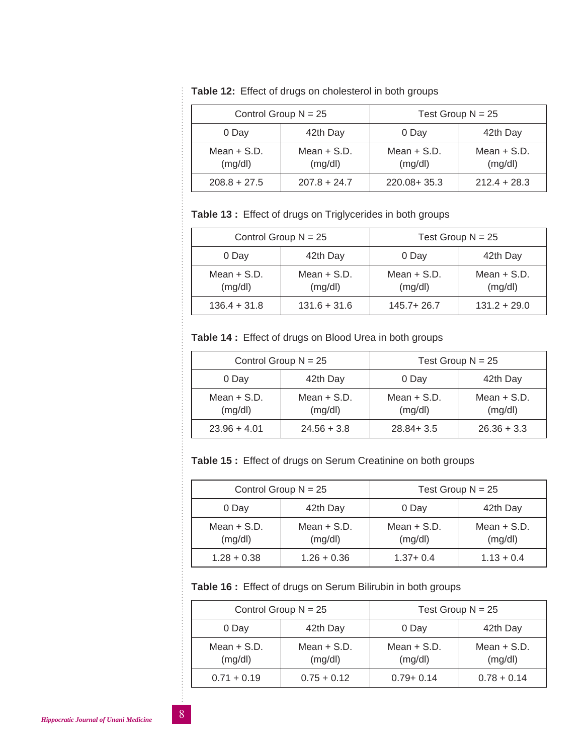| Control Group $N = 25$   |                          | Test Group $N = 25$      |                          |  |
|--------------------------|--------------------------|--------------------------|--------------------------|--|
| 0 Day                    | 42th Day                 | 0 Day                    | 42th Day                 |  |
| Mean $+$ S.D.<br>(mg/dl) | Mean $+$ S.D.<br>(mg/dl) | Mean $+$ S.D.<br>(mg/dl) | Mean $+$ S.D.<br>(mg/dl) |  |
| $208.8 + 27.5$           | $207.8 + 24.7$           | 220.08+35.3              | $212.4 + 28.3$           |  |

**Table 12:** Effect of drugs on cholesterol in both groups

**Table 13 :** Effect of drugs on Triglycerides in both groups

| Control Group $N = 25$   |                          | Test Group $N = 25$      |                          |  |
|--------------------------|--------------------------|--------------------------|--------------------------|--|
| 0 Day                    | 42th Day                 | 42th Day<br>0 Day        |                          |  |
| Mean $+$ S.D.<br>(mg/dl) | Mean $+$ S.D.<br>(mg/dl) | Mean $+$ S.D.<br>(mg/dl) | Mean $+$ S.D.<br>(mg/dl) |  |
| $136.4 + 31.8$           | $131.6 + 31.6$           | $145.7 + 26.7$           | $131.2 + 29.0$           |  |

**Table 14 :** Effect of drugs on Blood Urea in both groups

| Control Group $N = 25$   |                          | Test Group $N = 25$      |                          |  |
|--------------------------|--------------------------|--------------------------|--------------------------|--|
| 0 Day                    | 42th Day                 | 42th Day<br>0 Day        |                          |  |
| Mean $+$ S.D.<br>(mg/dl) | Mean $+$ S.D.<br>(mg/dl) | Mean $+$ S.D.<br>(mg/dl) | Mean $+$ S.D.<br>(mg/dl) |  |
| $23.96 + 4.01$           | $24.56 + 3.8$            | $28.84 + 3.5$            | $26.36 + 3.3$            |  |

**Table 15 :** Effect of drugs on Serum Creatinine on both groups

| Control Group $N = 25$   |                          | Test Group $N = 25$      |                          |  |
|--------------------------|--------------------------|--------------------------|--------------------------|--|
| 0 Day                    | 42th Day                 | 0 Day                    | 42th Day                 |  |
| Mean $+$ S.D.<br>(mg/dl) | Mean $+$ S.D.<br>(mg/dl) | Mean $+$ S.D.<br>(mg/dl) | Mean $+$ S.D.<br>(mg/dl) |  |
| $1.28 + 0.38$            | $1.26 + 0.36$            | $1.37 + 0.4$             | $1.13 + 0.4$             |  |

**Table 16 :** Effect of drugs on Serum Bilirubin in both groups

| Control Group $N = 25$   |                          | Test Group $N = 25$      |                          |  |
|--------------------------|--------------------------|--------------------------|--------------------------|--|
| 0 Day                    | 42th Day                 | 0 Day                    | 42th Day                 |  |
| Mean $+$ S.D.<br>(mg/dl) | Mean $+$ S.D.<br>(mg/dl) | Mean $+$ S.D.<br>(mg/dl) | Mean $+$ S.D.<br>(mg/dl) |  |
| $0.71 + 0.19$            | $0.75 + 0.12$            | $0.79 + 0.14$            | $0.78 + 0.14$            |  |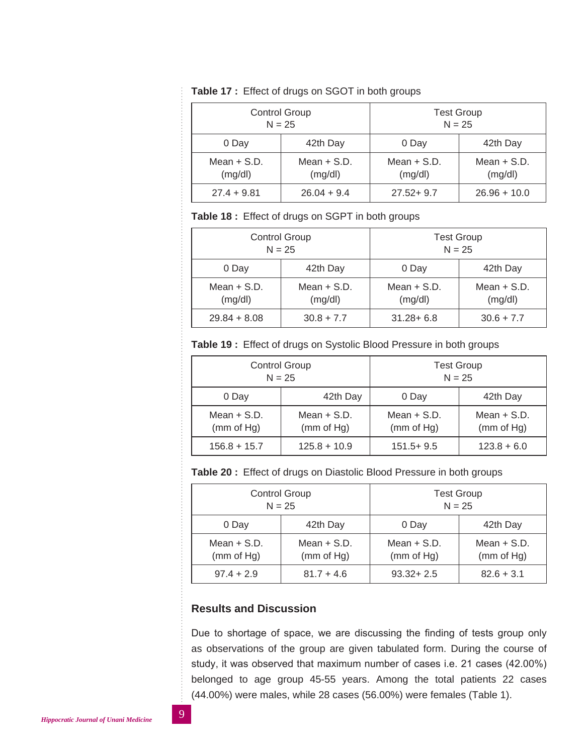| Table 17 : Effect of drugs on SGOT in both groups |  |  |  |  |  |  |
|---------------------------------------------------|--|--|--|--|--|--|
|---------------------------------------------------|--|--|--|--|--|--|

| <b>Control Group</b> |               | <b>Test Group</b>               |               |
|----------------------|---------------|---------------------------------|---------------|
| $N = 25$             |               | $N = 25$                        |               |
| 0 Day                | 42th Day      | 42th Day<br>0 Day               |               |
| Mean $+$ S.D.        | Mean $+$ S.D. | Mean $+$ S.D.                   | Mean $+$ S.D. |
| (mg/dl)              | (mg/dl)       | (mg/dl)                         | (mg/dl)       |
| $27.4 + 9.81$        | $26.04 + 9.4$ | $27.52 + 9.7$<br>$26.96 + 10.0$ |               |

### **Table 18 :** Effect of drugs on SGPT in both groups

| <b>Control Group</b> |               | <b>Test Group</b> |               |
|----------------------|---------------|-------------------|---------------|
| $N = 25$             |               | $N = 25$          |               |
| 0 Day                | 42th Day      | 42th Day<br>0 Day |               |
| Mean $+$ S.D.        | Mean $+$ S.D. | Mean $+$ S.D.     | Mean $+$ S.D. |
| (mg/dl)              | (mg/dl)       | (mg/dl)           | (mg/dl)       |
| $29.84 + 8.08$       | $30.8 + 7.7$  | $31.28 + 6.8$     | $30.6 + 7.7$  |

**Table 19 :** Effect of drugs on Systolic Blood Pressure in both groups

| <b>Control Group</b> |                | <b>Test Group</b> |               |
|----------------------|----------------|-------------------|---------------|
| $N = 25$             |                | $N = 25$          |               |
| 0 Day                | 42th Day       | 42th Day<br>0 Day |               |
| Mean $+$ S.D.        | Mean $+$ S.D.  | Mean $+$ S.D.     | Mean $+$ S.D. |
| (mm of Hg)           | (mm of Hg)     | (mm of Hg)        | (mm of Hg)    |
| $156.8 + 15.7$       | $125.8 + 10.9$ | $151.5 + 9.5$     | $123.8 + 6.0$ |

**Table 20 :** Effect of drugs on Diastolic Blood Pressure in both groups

| <b>Control Group</b><br>$N = 25$ |                             | <b>Test Group</b><br>$N = 25$                              |  |
|----------------------------------|-----------------------------|------------------------------------------------------------|--|
| 0 Day                            | 42th Day                    | 42th Day<br>0 Day                                          |  |
| Mean $+$ S.D.<br>(mm of Hg)      | Mean $+$ S.D.<br>(mm of Hg) | Mean $+$ S.D.<br>Mean $+$ S.D.<br>(mm of Hg)<br>(mm of Hg) |  |
| $97.4 + 2.9$                     | $81.7 + 4.6$                | $93.32 + 2.5$<br>$82.6 + 3.1$                              |  |

## **Results and Discussion**

Due to shortage of space, we are discussing the finding of tests group only as observations of the group are given tabulated form. During the course of study, it was observed that maximum number of cases i.e. 21 cases (42.00%) belonged to age group 45-55 years. Among the total patients 22 cases (44.00%) were males, while 28 cases (56.00%) were females (Table 1).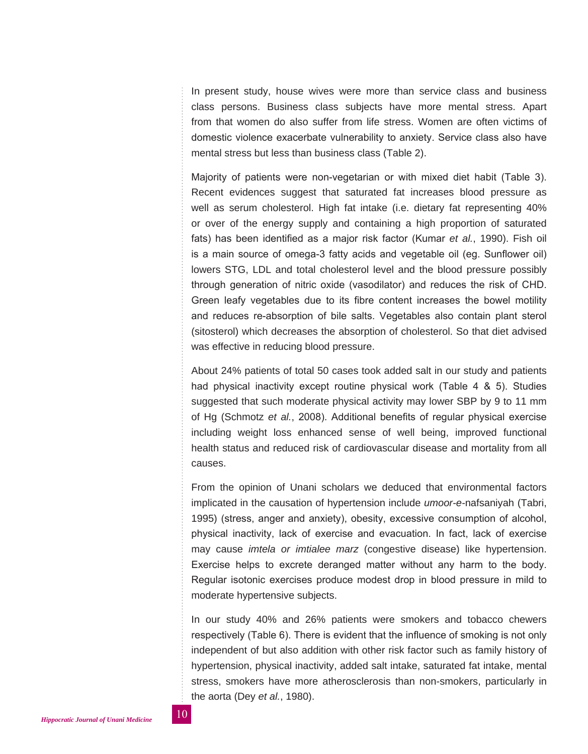In present study, house wives were more than service class and business class persons. Business class subjects have more mental stress. Apart from that women do also suffer from life stress. Women are often victims of domestic violence exacerbate vulnerability to anxiety. Service class also have mental stress but less than business class (Table 2).

Majority of patients were non-vegetarian or with mixed diet habit (Table 3). Recent evidences suggest that saturated fat increases blood pressure as well as serum cholesterol. High fat intake (i.e. dietary fat representing 40% or over of the energy supply and containing a high proportion of saturated fats) has been identified as a major risk factor (Kumar *et al.*, 1990). Fish oil is a main source of omega-3 fatty acids and vegetable oil (eg. Sunflower oil) lowers STG, LDL and total cholesterol level and the blood pressure possibly through generation of nitric oxide (vasodilator) and reduces the risk of CHD. Green leafy vegetables due to its fibre content increases the bowel motility and reduces re-absorption of bile salts. Vegetables also contain plant sterol (sitosterol) which decreases the absorption of cholesterol. So that diet advised was effective in reducing blood pressure.

About 24% patients of total 50 cases took added salt in our study and patients had physical inactivity except routine physical work (Table 4 & 5). Studies suggested that such moderate physical activity may lower SBP by 9 to 11 mm of Hg (Schmotz *et al.*, 2008). Additional benefits of regular physical exercise including weight loss enhanced sense of well being, improved functional health status and reduced risk of cardiovascular disease and mortality from all causes.

From the opinion of Unani scholars we deduced that environmental factors implicated in the causation of hypertension include *umoor-e-*nafsaniyah (Tabri, 1995) (stress, anger and anxiety), obesity, excessive consumption of alcohol, physical inactivity, lack of exercise and evacuation. In fact, lack of exercise may cause *imtela or imtialee marz* (congestive disease) like hypertension. Exercise helps to excrete deranged matter without any harm to the body. Regular isotonic exercises produce modest drop in blood pressure in mild to moderate hypertensive subjects.

In our study 40% and 26% patients were smokers and tobacco chewers respectively (Table 6). There is evident that the influence of smoking is not only independent of but also addition with other risk factor such as family history of hypertension, physical inactivity, added salt intake, saturated fat intake, mental stress, smokers have more atherosclerosis than non-smokers, particularly in the aorta (Dey *et al.*, 1980).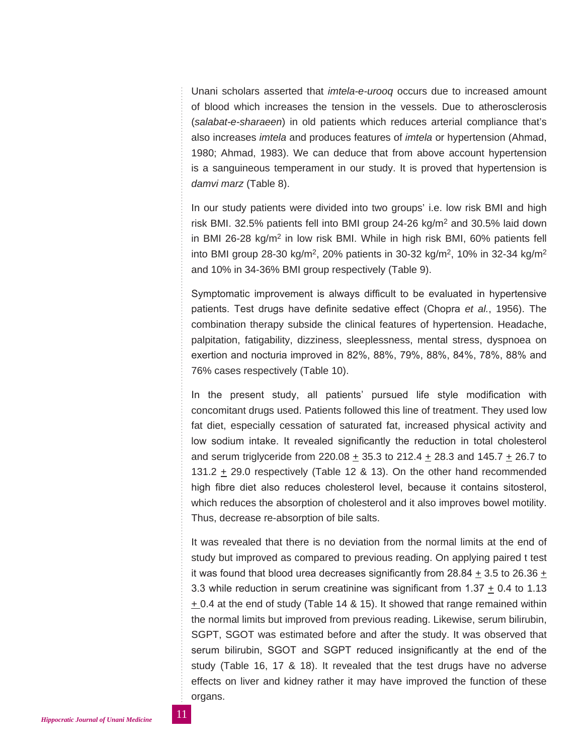Unani scholars asserted that *imtela-e-urooq* occurs due to increased amount of blood which increases the tension in the vessels. Due to atherosclerosis (*salabat-e-sharaeen*) in old patients which reduces arterial compliance that's also increases *imtela* and produces features of *imtela* or hypertension (Ahmad, 1980; Ahmad, 1983). We can deduce that from above account hypertension is a sanguineous temperament in our study. It is proved that hypertension is *damvi marz* (Table 8).

In our study patients were divided into two groups' i.e. low risk BMI and high risk BMI. 32.5% patients fell into BMI group  $24-26$  kg/m<sup>2</sup> and 30.5% laid down in BMI 26-28 kg/m2 in low risk BMI. While in high risk BMI, 60% patients fell into BMI group 28-30 kg/m<sup>2</sup>, 20% patients in 30-32 kg/m<sup>2</sup>, 10% in 32-34 kg/m<sup>2</sup> and 10% in 34-36% BMI group respectively (Table 9).

Symptomatic improvement is always difficult to be evaluated in hypertensive patients. Test drugs have definite sedative effect (Chopra *et al.*, 1956). The combination therapy subside the clinical features of hypertension. Headache, palpitation, fatigability, dizziness, sleeplessness, mental stress, dyspnoea on exertion and nocturia improved in 82%, 88%, 79%, 88%, 84%, 78%, 88% and 76% cases respectively (Table 10).

In the present study, all patients' pursued life style modification with concomitant drugs used. Patients followed this line of treatment. They used low fat diet, especially cessation of saturated fat, increased physical activity and low sodium intake. It revealed significantly the reduction in total cholesterol and serum triglyceride from 220.08 + 35.3 to 212.4 + 28.3 and 145.7 + 26.7 to 131.2  $\pm$  29.0 respectively (Table 12 & 13). On the other hand recommended high fibre diet also reduces cholesterol level, because it contains sitosterol, which reduces the absorption of cholesterol and it also improves bowel motility. Thus, decrease re-absorption of bile salts.

It was revealed that there is no deviation from the normal limits at the end of study but improved as compared to previous reading. On applying paired t test it was found that blood urea decreases significantly from 28.84  $\pm$  3.5 to 26.36  $\pm$ 3.3 while reduction in serum creatinine was significant from  $1.37 \pm 0.4$  to 1.13  $\pm$  0.4 at the end of study (Table 14 & 15). It showed that range remained within the normal limits but improved from previous reading. Likewise, serum bilirubin, SGPT, SGOT was estimated before and after the study. It was observed that serum bilirubin, SGOT and SGPT reduced insignificantly at the end of the study (Table 16, 17 & 18). It revealed that the test drugs have no adverse effects on liver and kidney rather it may have improved the function of these organs.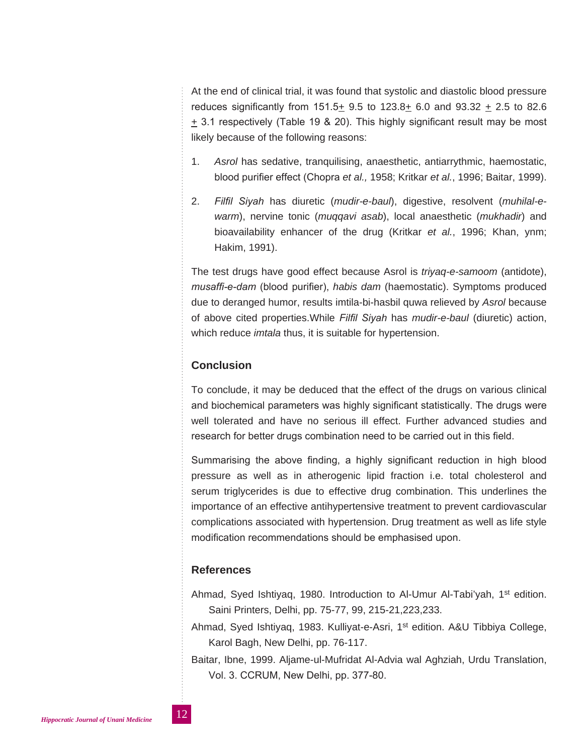At the end of clinical trial, it was found that systolic and diastolic blood pressure reduces significantly from 151.5+ 9.5 to 123.8+ 6.0 and 93.32 + 2.5 to 82.6 + 3.1 respectively (Table 19 & 20). This highly significant result may be most likely because of the following reasons:

- 1. *Asrol* has sedative, tranquilising, anaesthetic, antiarrythmic, haemostatic, blood purifier effect (Chopra *et al.,* 1958; Kritkar *et al.*, 1996; Baitar, 1999).
- 2. *Filfil Siyah* has diuretic (*mudir-e-baul*), digestive, resolvent (*muhilal-ewarm*), nervine tonic (*muqqavi asab*), local anaesthetic (*mukhadir*) and bioavailability enhancer of the drug (Kritkar *et al.*, 1996; Khan, ynm; Hakim, 1991).

The test drugs have good effect because Asrol is *triyaq-e-samoom* (antidote), *musaffi-e-dam* (blood purifier), *habis dam* (haemostatic). Symptoms produced due to deranged humor, results imtila-bi-hasbil quwa relieved by *Asrol* because of above cited properties.While *Filfil Siyah* has *mudir-e-baul* (diuretic) action, which reduce *imtala* thus, it is suitable for hypertension.

### **Conclusion**

To conclude, it may be deduced that the effect of the drugs on various clinical and biochemical parameters was highly significant statistically. The drugs were well tolerated and have no serious ill effect. Further advanced studies and research for better drugs combination need to be carried out in this field.

Summarising the above finding, a highly significant reduction in high blood pressure as well as in atherogenic lipid fraction i.e. total cholesterol and serum triglycerides is due to effective drug combination. This underlines the importance of an effective antihypertensive treatment to prevent cardiovascular complications associated with hypertension. Drug treatment as well as life style modification recommendations should be emphasised upon.

## **References**

- Ahmad, Syed Ishtiyaq, 1980. Introduction to Al-Umur Al-Tabi'yah, 1<sup>st</sup> edition. Saini Printers, Delhi, pp. 75-77, 99, 215-21,223,233.
- Ahmad, Syed Ishtiyaq, 1983. Kulliyat-e-Asri, 1<sup>st</sup> edition. A&U Tibbiya College, Karol Bagh, New Delhi, pp. 76-117.
- Baitar, Ibne, 1999. Aljame-ul-Mufridat Al-Advia wal Aghziah, Urdu Translation, Vol. 3. CCRUM, New Delhi, pp. 377-80.